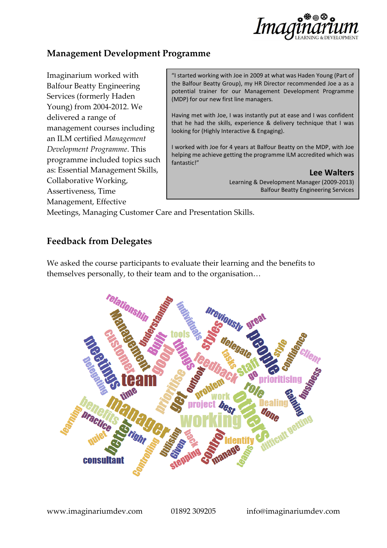

# **Management Development Programme**

Imaginarium worked with Balfour Beatty Engineering Services (formerly Haden Young) from 2004-2012. We delivered a range of management courses including an ILM certified *Management Development Programme*. This programme included topics such as: Essential Management Skills, Collaborative Working, Assertiveness, Time Management, Effective

"I started working with Joe in 2009 at what was Haden Young (Part of the Balfour Beatty Group), my HR Director recommended Joe a as a potential trainer for our Management Development Programme (MDP) for our new first line managers.

Having met with Joe, I was instantly put at ease and I was confident that he had the skills, experience & delivery technique that I was looking for (Highly Interactive & Engaging).

I worked with Joe for 4 years at Balfour Beatty on the MDP, with Joe helping me achieve getting the programme ILM accredited which was fantastic!"

> **Lee Walters** Learning & Development Manager (2009-2013) Balfour Beatty Engineering Services

Meetings, Managing Customer Care and Presentation Skills.

## **Feedback from Delegates**

We asked the course participants to evaluate their learning and the benefits to themselves personally, to their team and to the organisation…

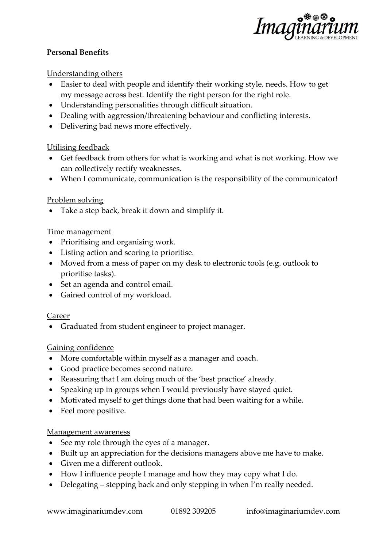

### **Personal Benefits**

### Understanding others

- Easier to deal with people and identify their working style, needs. How to get my message across best. Identify the right person for the right role.
- Understanding personalities through difficult situation.
- Dealing with aggression/threatening behaviour and conflicting interests.
- Delivering bad news more effectively.

### Utilising feedback

- Get feedback from others for what is working and what is not working. How we can collectively rectify weaknesses.
- When I communicate, communication is the responsibility of the communicator!

### Problem solving

• Take a step back, break it down and simplify it.

### Time management

- Prioritising and organising work.
- Listing action and scoring to prioritise.
- Moved from a mess of paper on my desk to electronic tools (e.g. outlook to prioritise tasks).
- Set an agenda and control email.
- Gained control of my workload.

### Career

• Graduated from student engineer to project manager.

### Gaining confidence

- More comfortable within myself as a manager and coach.
- Good practice becomes second nature.
- Reassuring that I am doing much of the 'best practice' already.
- Speaking up in groups when I would previously have stayed quiet.
- Motivated myself to get things done that had been waiting for a while.
- Feel more positive.

### Management awareness

- See my role through the eyes of a manager.
- Built up an appreciation for the decisions managers above me have to make.
- Given me a different outlook.
- How I influence people I manage and how they may copy what I do.
- Delegating stepping back and only stepping in when I'm really needed.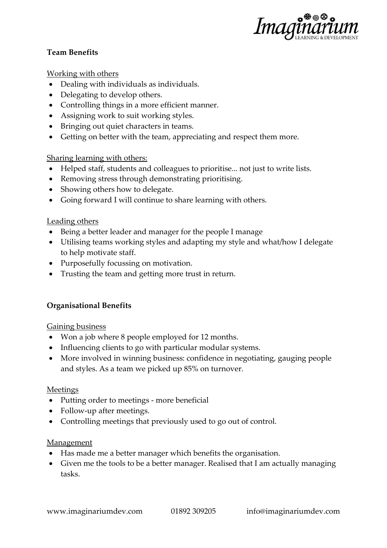

### **Team Benefits**

### Working with others

- Dealing with individuals as individuals.
- Delegating to develop others.
- Controlling things in a more efficient manner.
- Assigning work to suit working styles.
- Bringing out quiet characters in teams.
- Getting on better with the team, appreciating and respect them more.

### Sharing learning with others:

- Helped staff, students and colleagues to prioritise... not just to write lists.
- Removing stress through demonstrating prioritising.
- Showing others how to delegate.
- Going forward I will continue to share learning with others.

### Leading others

- Being a better leader and manager for the people I manage
- Utilising teams working styles and adapting my style and what/how I delegate to help motivate staff.
- Purposefully focussing on motivation.
- Trusting the team and getting more trust in return.

### **Organisational Benefits**

### Gaining business

- Won a job where 8 people employed for 12 months.
- Influencing clients to go with particular modular systems.
- More involved in winning business: confidence in negotiating, gauging people and styles. As a team we picked up 85% on turnover.

#### Meetings

- Putting order to meetings more beneficial
- Follow-up after meetings.
- Controlling meetings that previously used to go out of control.

### Management

- Has made me a better manager which benefits the organisation.
- Given me the tools to be a better manager. Realised that I am actually managing tasks.